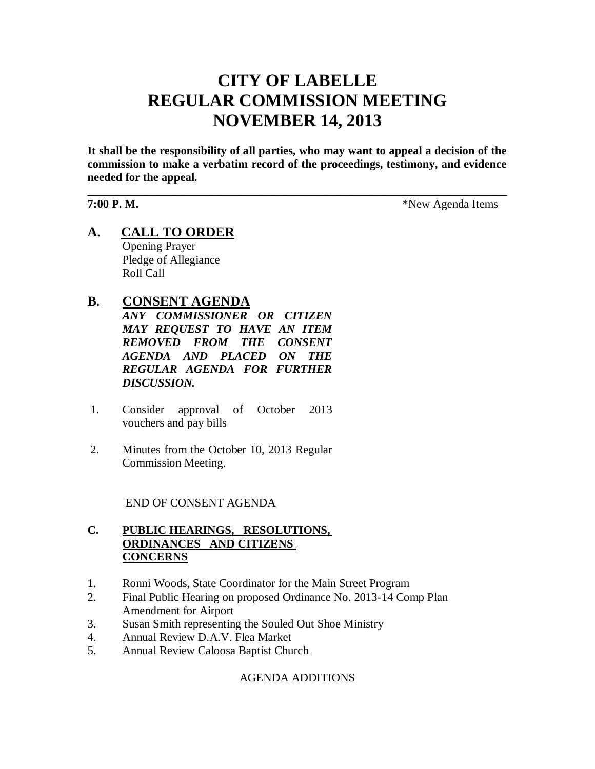# **CITY OF LABELLE REGULAR COMMISSION MEETING NOVEMBER 14, 2013**

**It shall be the responsibility of all parties, who may want to appeal a decision of the commission to make a verbatim record of the proceedings, testimony, and evidence needed for the appeal.**

\_\_\_\_\_\_\_\_\_\_\_\_\_\_\_\_\_\_\_\_\_\_\_\_\_\_\_\_\_\_\_\_\_\_\_\_\_\_\_\_\_\_\_\_\_\_\_\_\_\_\_\_\_\_\_\_\_\_\_\_\_\_\_\_\_\_\_\_\_\_\_\_

**7:00 P. M.**  $*$ New Agenda Items

**A. CALL TO ORDER** Opening Prayer Pledge of Allegiance Roll Call

# **B. CONSENT AGENDA**

*ANY COMMISSIONER OR CITIZEN MAY REQUEST TO HAVE AN ITEM REMOVED FROM THE CONSENT AGENDA AND PLACED ON THE REGULAR AGENDA FOR FURTHER DISCUSSION.*

- 1. Consider approval of October 2013 vouchers and pay bills
- 2. Minutes from the October 10, 2013 Regular Commission Meeting.

#### END OF CONSENT AGENDA

### **C. PUBLIC HEARINGS, RESOLUTIONS, ORDINANCES AND CITIZENS CONCERNS**

- 1. Ronni Woods, State Coordinator for the Main Street Program
- 2. Final Public Hearing on proposed Ordinance No. 2013-14 Comp Plan Amendment for Airport
- 3. Susan Smith representing the Souled Out Shoe Ministry
- 4. Annual Review D.A.V. Flea Market
- 5. Annual Review Caloosa Baptist Church

# AGENDA ADDITIONS